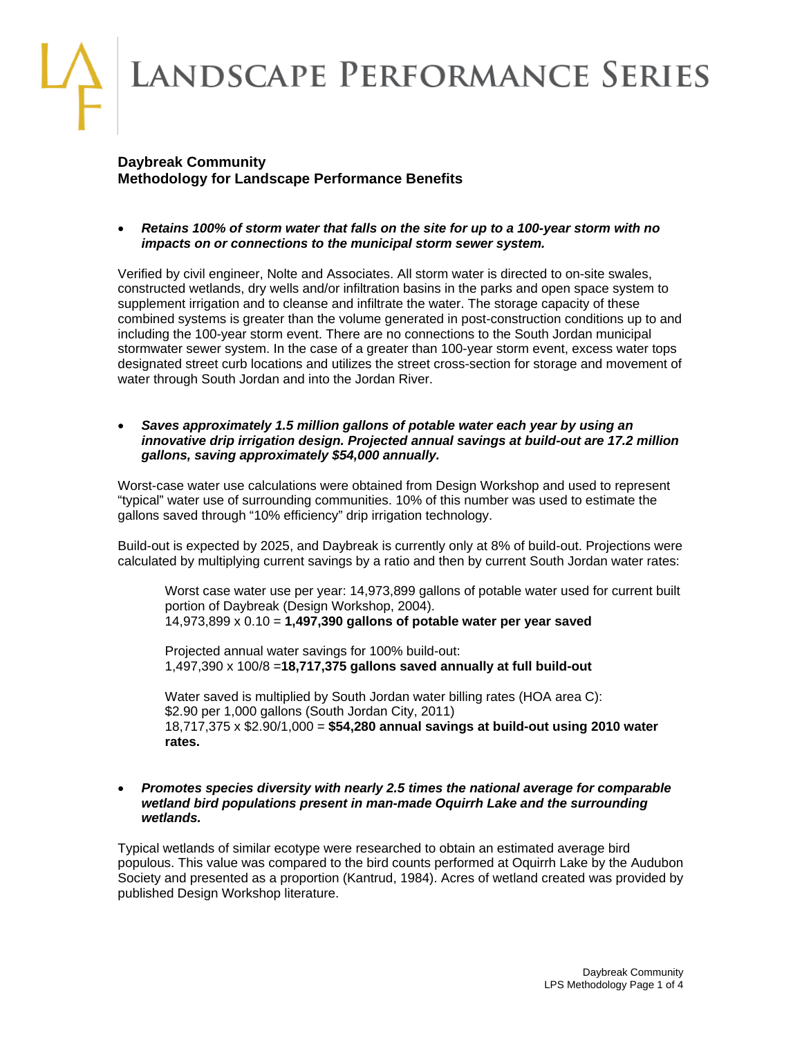# LANDSCAPE PERFORMANCE SERIES

# **Daybreak Community Methodology for Landscape Performance Benefits**

 *Retains 100% of storm water that falls on the site for up to a 100-year storm with no impacts on or connections to the municipal storm sewer system.* 

Verified by civil engineer, Nolte and Associates. All storm water is directed to on-site swales, constructed wetlands, dry wells and/or infiltration basins in the parks and open space system to supplement irrigation and to cleanse and infiltrate the water. The storage capacity of these combined systems is greater than the volume generated in post-construction conditions up to and including the 100-year storm event. There are no connections to the South Jordan municipal stormwater sewer system. In the case of a greater than 100-year storm event, excess water tops designated street curb locations and utilizes the street cross-section for storage and movement of water through South Jordan and into the Jordan River.

 *Saves approximately 1.5 million gallons of potable water each year by using an innovative drip irrigation design. Projected annual savings at build-out are 17.2 million gallons, saving approximately \$54,000 annually.* 

Worst-case water use calculations were obtained from Design Workshop and used to represent "typical" water use of surrounding communities. 10% of this number was used to estimate the gallons saved through "10% efficiency" drip irrigation technology.

Build-out is expected by 2025, and Daybreak is currently only at 8% of build-out. Projections were calculated by multiplying current savings by a ratio and then by current South Jordan water rates:

Worst case water use per year: 14,973,899 gallons of potable water used for current built portion of Daybreak (Design Workshop, 2004). 14,973,899 x 0.10 = **1,497,390 gallons of potable water per year saved**

Projected annual water savings for 100% build-out: 1,497,390 x 100/8 =**18,717,375 gallons saved annually at full build-out**

Water saved is multiplied by South Jordan water billing rates (HOA area C): \$2.90 per 1,000 gallons (South Jordan City, 2011) 18,717,375 x \$2.90/1,000 = **\$54,280 annual savings at build-out using 2010 water rates.**

#### *Promotes species diversity with nearly 2.5 times the national average for comparable wetland bird populations present in man-made Oquirrh Lake and the surrounding wetlands.*

Typical wetlands of similar ecotype were researched to obtain an estimated average bird populous. This value was compared to the bird counts performed at Oquirrh Lake by the Audubon Society and presented as a proportion (Kantrud, 1984). Acres of wetland created was provided by published Design Workshop literature.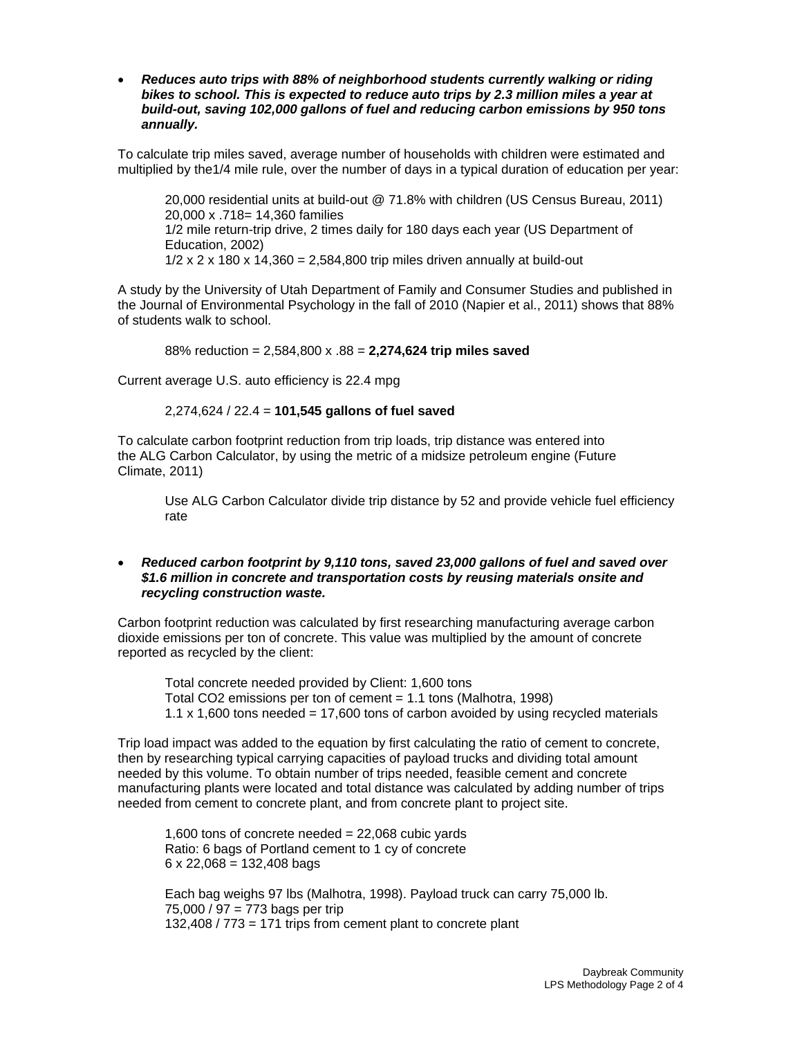*Reduces auto trips with 88% of neighborhood students currently walking or riding bikes to school. This is expected to reduce auto trips by 2.3 million miles a year at build-out, saving 102,000 gallons of fuel and reducing carbon emissions by 950 tons annually.* 

To calculate trip miles saved, average number of households with children were estimated and multiplied by the1/4 mile rule, over the number of days in a typical duration of education per year:

20,000 residential units at build-out @ 71.8% with children (US Census Bureau, 2011) 20,000 x .718= 14,360 families 1/2 mile return-trip drive, 2 times daily for 180 days each year (US Department of Education, 2002)  $1/2$  x 2 x 180 x 14,360 = 2,584,800 trip miles driven annually at build-out

A study by the University of Utah Department of Family and Consumer Studies and published in the Journal of Environmental Psychology in the fall of 2010 (Napier et al., 2011) shows that 88% of students walk to school.

88% reduction = 2,584,800 x .88 = **2,274,624 trip miles saved**

Current average U.S. auto efficiency is 22.4 mpg

## 2,274,624 / 22.4 = **101,545 gallons of fuel saved**

To calculate carbon footprint reduction from trip loads, trip distance was entered into the ALG Carbon Calculator, by using the metric of a midsize petroleum engine (Future Climate, 2011)

Use ALG Carbon Calculator divide trip distance by 52 and provide vehicle fuel efficiency rate

#### *Reduced carbon footprint by 9,110 tons, saved 23,000 gallons of fuel and saved over \$1.6 million in concrete and transportation costs by reusing materials onsite and recycling construction waste.*

Carbon footprint reduction was calculated by first researching manufacturing average carbon dioxide emissions per ton of concrete. This value was multiplied by the amount of concrete reported as recycled by the client:

Total concrete needed provided by Client: 1,600 tons Total CO2 emissions per ton of cement = 1.1 tons (Malhotra, 1998) 1.1 x 1,600 tons needed = 17,600 tons of carbon avoided by using recycled materials

Trip load impact was added to the equation by first calculating the ratio of cement to concrete, then by researching typical carrying capacities of payload trucks and dividing total amount needed by this volume. To obtain number of trips needed, feasible cement and concrete manufacturing plants were located and total distance was calculated by adding number of trips needed from cement to concrete plant, and from concrete plant to project site.

1,600 tons of concrete needed  $= 22,068$  cubic yards Ratio: 6 bags of Portland cement to 1 cy of concrete  $6 \times 22,068 = 132,408$  bags

Each bag weighs 97 lbs (Malhotra, 1998). Payload truck can carry 75,000 lb. 75,000 / 97 = 773 bags per trip 132,408 / 773 = 171 trips from cement plant to concrete plant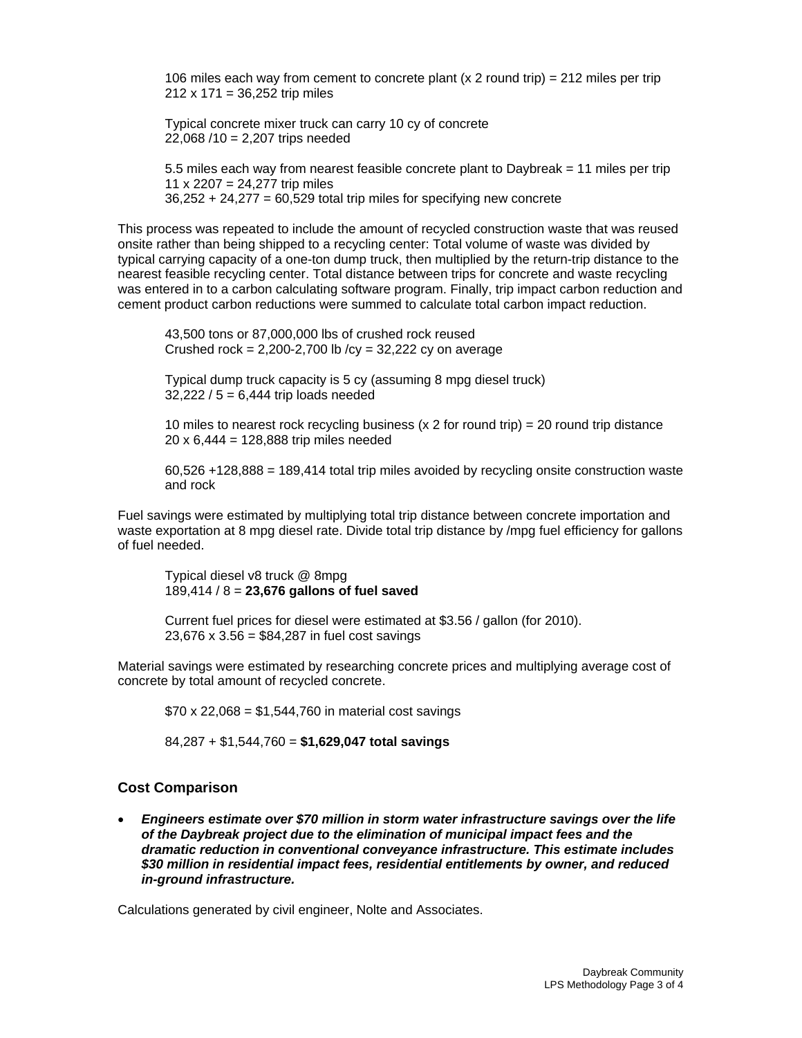106 miles each way from cement to concrete plant (x 2 round trip) = 212 miles per trip  $212 \times 171 = 36,252$  trip miles

Typical concrete mixer truck can carry 10 cy of concrete 22,068 /10 = 2,207 trips needed

5.5 miles each way from nearest feasible concrete plant to Daybreak = 11 miles per trip 11 x 2207 = 24,277 trip miles  $36,252 + 24,277 = 60,529$  total trip miles for specifying new concrete

This process was repeated to include the amount of recycled construction waste that was reused onsite rather than being shipped to a recycling center: Total volume of waste was divided by typical carrying capacity of a one-ton dump truck, then multiplied by the return-trip distance to the nearest feasible recycling center. Total distance between trips for concrete and waste recycling was entered in to a carbon calculating software program. Finally, trip impact carbon reduction and cement product carbon reductions were summed to calculate total carbon impact reduction.

43,500 tons or 87,000,000 lbs of crushed rock reused Crushed rock =  $2,200-2,700$  lb /cy =  $32,222$  cy on average

Typical dump truck capacity is 5 cy (assuming 8 mpg diesel truck) 32,222 / 5 = 6,444 trip loads needed

10 miles to nearest rock recycling business (x  $2$  for round trip) =  $20$  round trip distance 20 x 6,444 = 128,888 trip miles needed

60,526 +128,888 = 189,414 total trip miles avoided by recycling onsite construction waste and rock

Fuel savings were estimated by multiplying total trip distance between concrete importation and waste exportation at 8 mpg diesel rate. Divide total trip distance by /mpg fuel efficiency for gallons of fuel needed.

Typical diesel v8 truck @ 8mpg 189,414 / 8 = **23,676 gallons of fuel saved**

Current fuel prices for diesel were estimated at \$3.56 / gallon (for 2010). 23,676 x 3.56 = \$84,287 in fuel cost savings

Material savings were estimated by researching concrete prices and multiplying average cost of concrete by total amount of recycled concrete.

 $$70 \times 22,068 = $1,544,760$  in material cost savings

84,287 + \$1,544,760 = **\$1,629,047 total savings**

## **Cost Comparison**

 *Engineers estimate over \$70 million in storm water infrastructure savings over the life of the Daybreak project due to the elimination of municipal impact fees and the dramatic reduction in conventional conveyance infrastructure. This estimate includes \$30 million in residential impact fees, residential entitlements by owner, and reduced in-ground infrastructure.* 

Calculations generated by civil engineer, Nolte and Associates.